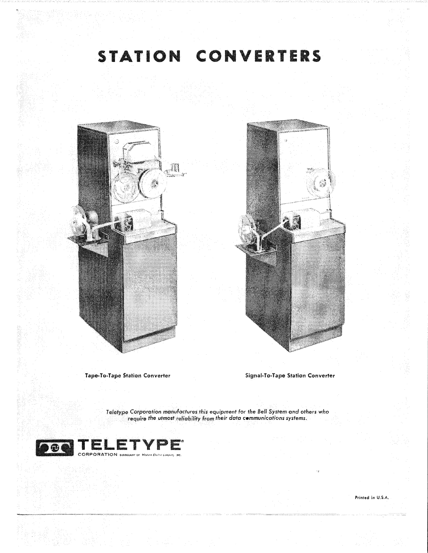## STATION CONVERTERS





**Tape-To-Tape Station Converter** 

**Signal-To-Tape Station Converter** 

Teletype Corporation manufactures this equipment for the Bell System and others who require the utmost reliability from their data communications systems.